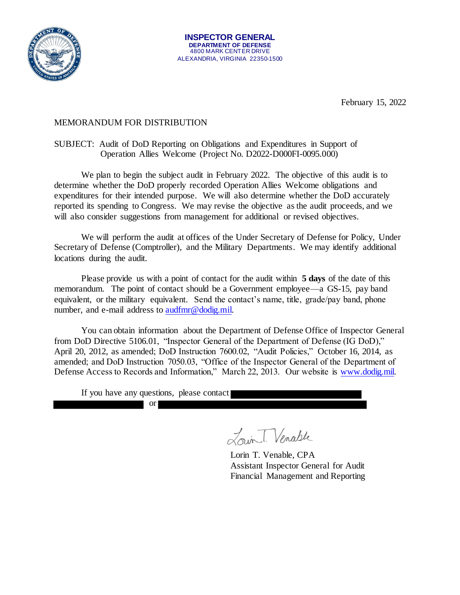

February 15, 2022

## MEMORANDUM FOR DISTRIBUTION

## SUBJECT: Audit of DoD Reporting on Obligations and Expenditures in Support of Operation Allies Welcome (Project No. D2022-D000FI-0095.000)

We plan to begin the subject audit in February 2022. The objective of this audit is to determine whether the DoD properly recorded Operation Allies Welcome obligations and expenditures for their intended purpose. We will also determine whether the DoD accurately reported its spending to Congress. We may revise the objective as the audit proceeds, and we will also consider suggestions from management for additional or revised objectives.

We will perform the audit at offices of the Under Secretary of Defense for Policy, Under Secretary of Defense (Comptroller), and the Military Departments. We may identify additional locations during the audit.

Please provide us with a point of contact for the audit within **5 days** of the date of this memorandum. The point of contact should be a Government employee—a GS-15, pay band equivalent, or the military equivalent. Send the contact's name, title, grade/pay band, phone number, and e-mail address to [audfmr@dodig.mil.](mailto:audfmr@dodig.mil) 

You can obtain information about the Department of Defense Office of Inspector General from DoD Directive 5106.01, "Inspector General of the Department of Defense (IG DoD)," April 20, 2012, as amended; DoD Instruction 7600.02, "Audit Policies," October 16, 2014, as amended; and DoD Instruction 7050.03, "Office of the Inspector General of the Department of Defense Access to Records and Information," March 22, 2013. Our website is [www.dodig.mil.](http://www.dodig.mil/)

If you have any questions, please contact

or

Louin T. Venable

Lorin T. Venable, CPA Assistant Inspector General for Audit Financial Management and Reporting